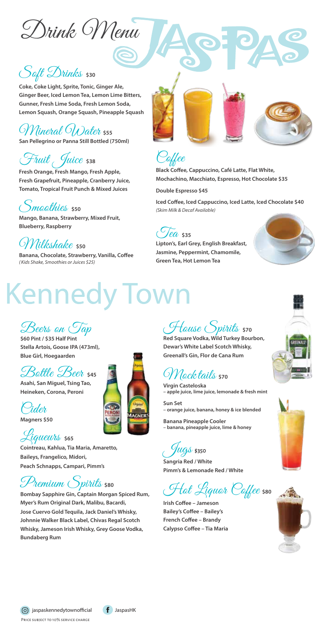Drink Menu

## Soft Drinks \$30

**Coke, Coke Light, Sprite, Tonic, Ginger Ale, Ginger Beer, Iced Lemon Tea, Lemon Lime Bitters, Gunner, Fresh Lime Soda, Fresh Lemon Soda, Lemon Squash, Orange Squash, Pineapple Squash**

Mineral Water **\$55 San Pellegrino or Panna Still Bottled (750ml)**

# Fruit Juice 538

**Fresh Orange, Fresh Mango, Fresh Apple, Fresh Grapefruit, Pineapple, Cranberry Juice, Tomato, Tropical Fruit Punch & Mixed Juices**

Smoothies **\$50**

**Mango, Banana, Strawberry, Mixed Fruit, Blueberry, Raspberry**

Milkshake **\$50** Banana, Chocolate, Strawberry, Vanilla, Coffee *(Kids Shake, Smoothies or Juices \$25)*





**Black Coffee, Cappuccino, Café Latte, Flat White, Mochachino, Macchiato, Espresso, Hot Chocolate \$35**

**Double Espresso \$45**

Iced Coffee, Iced Cappuccino, Iced Latte, Iced Chocolate \$40 *(Skim Milk & Decaf Available)*



**Lipton's, Earl Grey, English Breakfast, Jasmine, Peppermint, Chamomile, Green Tea, Hot Lemon Tea**



# **Kennedy Town**

Beers on Tap

**\$60 Pint / \$35 Half Pint Stella Artois, Goose IPA (473ml), Blue Girl, Hoegaarden**

#### Bottle Beer **\$45**





Liqueurs **\$65 Cointreau, Kahlua, Tia Maria, Amaretto, Baileys, Frangelico, Midori, Peach Schnapps, Campari, Pimm's**

# Premium Spirits **\$80**

**Bombay Sapphire Gin, Captain Morgan Spiced Rum, Myer's Rum Original Dark, Malibu, Bacardi, Jose Cuervo Gold Tequila, Jack Daniel's Whisky, Johnnie Walker Black Label, Chivas Regal Scotch Whisky, Jameson Irish Whisky, Grey Goose Vodka, Bundaberg Rum**

House Spirits **\$70**

**Red Square Vodka, Wild Turkey Bourbon, Dewar's White Label Scotch Whisky, Greenall's Gin, Flor de Cana Rum**

### Mocktails **\$70**

**Virgin Casteloska – apple juice, lime juice, lemonade & fresh mint**

**Sun Set – orange juice, banana, honey & ice blended**

**Banana Pineapple Cooler – banana, pineapple juice, lime & honey**

Jugs\$350

**Sangria Red / White Pimm's & Lemonade Red / White**

Hot Liquor Coffee **\$80**

**Irish Coffee - Jameson Bailey's Coffee - Bailey's French Coffee - Brandy Calypso Coffee - Tia Maria** 







Price subject to 10% service charge  $\boxed{6}$  jaspaskennedytownofficial  $\boxed{f}$  JaspasHK